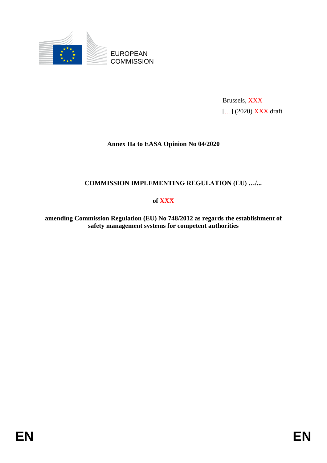

Brussels, XXX [...] (2020) **XXX** draft

## **Annex IIa to EASA Opinion No 04/2020**

# **COMMISSION IMPLEMENTING REGULATION (EU) …/...**

### **of XXX**

**amending Commission Regulation (EU) No 748/2012 as regards the establishment of safety management systems for competent authorities**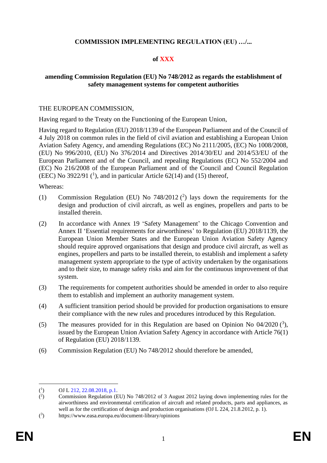## **COMMISSION IMPLEMENTING REGULATION (EU) …/...**

## **of XXX**

## **amending Commission Regulation (EU) No 748/2012 as regards the establishment of safety management systems for competent authorities**

### THE EUROPEAN COMMISSION,

Having regard to the Treaty on the Functioning of the European Union,

Having regard to Regulation (EU) 2018/1139 of the European Parliament and of the Council of 4 July 2018 on common rules in the field of civil aviation and establishing a European Union Aviation Safety Agency, and amending Regulations (EC) No 2111/2005, (EC) No 1008/2008, (EU) No 996/2010, (EU) No 376/2014 and Directives 2014/30/EU and 2014/53/EU of the European Parliament and of the Council, and repealing Regulations (EC) No 552/2004 and (EC) No 216/2008 of the European Parliament and of the Council and Council Regulation (EEC) No 3922/91  $(1)$ , and in particular Article 62(14) and (15) thereof,

Whereas:

- (1) Commission Regulation (EU) No  $748/2012$  (<sup>2</sup>) lays down the requirements for the design and production of civil aircraft, as well as engines, propellers and parts to be installed therein.
- (2) In accordance with Annex 19 'Safety Management' to the Chicago Convention and Annex II 'Essential requirements for airworthiness' to Regulation (EU) 2018/1139, the European Union Member States and the European Union Aviation Safety Agency should require approved organisations that design and produce civil aircraft, as well as engines, propellers and parts to be installed therein, to establish and implement a safety management system appropriate to the type of activity undertaken by the organisations and to their size, to manage safety risks and aim for the continuous improvement of that system.
- (3) The requirements for competent authorities should be amended in order to also require them to establish and implement an authority management system.
- (4) A sufficient transition period should be provided for production organisations to ensure their compliance with the new rules and procedures introduced by this Regulation.
- (5) The measures provided for in this Regulation are based on Opinion No  $04/2020$  (<sup>3</sup>), issued by the European Union Aviation Safety Agency in accordance with Article 76(1) of Regulation (EU) 2018/1139.
- (6) Commission Regulation (EU) No 748/2012 should therefore be amended,

 $($ <sup>1</sup> ) OJ L 212, 22.08.2018, p.1.

 $($ <sup>2</sup> ) Commission Regulation (EU) No 748/2012 of 3 August 2012 laying down implementing rules for the airworthiness and environmental certification of aircraft and related products, parts and appliances, as well as for the certification of design and production organisations (OJ L 224, 21.8.2012, p. 1).

 $(3)$ ) https://www.easa.europa.eu/document-library/opinions